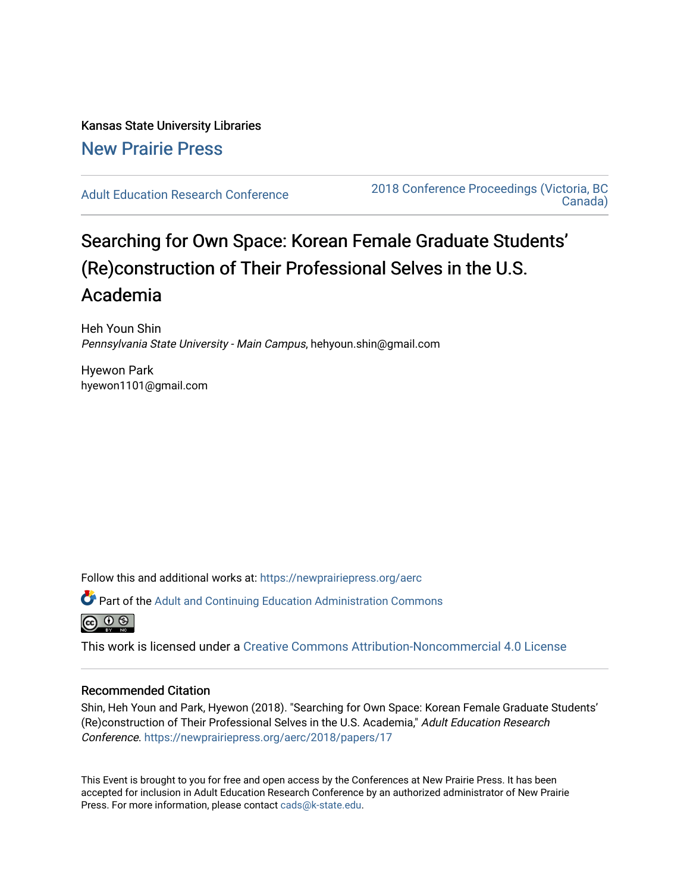# Kansas State University Libraries [New Prairie Press](https://newprairiepress.org/)

[Adult Education Research Conference](https://newprairiepress.org/aerc) [2018 Conference Proceedings \(Victoria, BC](https://newprairiepress.org/aerc/2018)  [Canada\)](https://newprairiepress.org/aerc/2018) 

# Searching for Own Space: Korean Female Graduate Students' (Re)construction of Their Professional Selves in the U.S. Academia

Heh Youn Shin Pennsylvania State University - Main Campus, hehyoun.shin@gmail.com

Hyewon Park hyewon1101@gmail.com

Follow this and additional works at: [https://newprairiepress.org/aerc](https://newprairiepress.org/aerc?utm_source=newprairiepress.org%2Faerc%2F2018%2Fpapers%2F17&utm_medium=PDF&utm_campaign=PDFCoverPages)

Part of the [Adult and Continuing Education Administration Commons](http://network.bepress.com/hgg/discipline/789?utm_source=newprairiepress.org%2Faerc%2F2018%2Fpapers%2F17&utm_medium=PDF&utm_campaign=PDFCoverPages)



This work is licensed under a [Creative Commons Attribution-Noncommercial 4.0 License](https://creativecommons.org/licenses/by-nc/4.0/)

# Recommended Citation

Shin, Heh Youn and Park, Hyewon (2018). "Searching for Own Space: Korean Female Graduate Students' (Re)construction of Their Professional Selves in the U.S. Academia," Adult Education Research Conference.<https://newprairiepress.org/aerc/2018/papers/17>

This Event is brought to you for free and open access by the Conferences at New Prairie Press. It has been accepted for inclusion in Adult Education Research Conference by an authorized administrator of New Prairie Press. For more information, please contact [cads@k-state.edu.](mailto:cads@k-state.edu)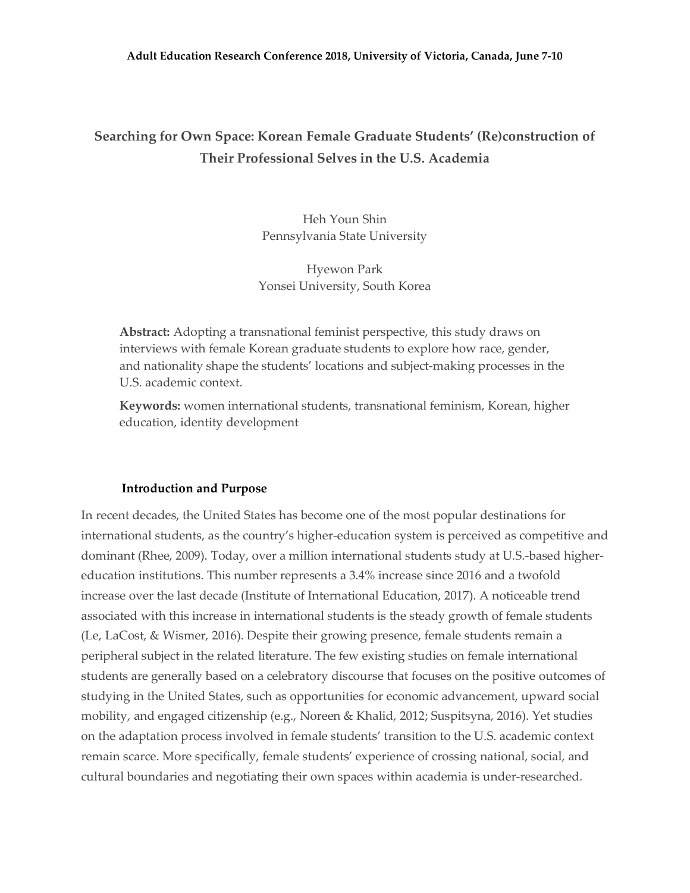# **Searching for Own Space: Korean Female Graduate Students' (Re)construction of Their Professional Selves in the U.S. Academia**

Heh Youn Shin Pennsylvania State University

Hyewon Park Yonsei University, South Korea

**Abstract:** Adopting a transnational feminist perspective, this study draws on interviews with female Korean graduate students to explore how race, gender, and nationality shape the students' locations and subject-making processes in the U.S. academic context.

**Keywords:** women international students, transnational feminism, Korean, higher education, identity development

# **Introduction and Purpose**

In recent decades, the United States has become one of the most popular destinations for international students, as the country's higher-education system is perceived as competitive and dominant (Rhee, 2009). Today, over a million international students study at U.S.-based highereducation institutions. This number represents a 3.4% increase since 2016 and a twofold increase over the last decade (Institute of International Education, 2017). A noticeable trend associated with this increase in international students is the steady growth of female students (Le, LaCost, & Wismer, 2016). Despite their growing presence, female students remain a peripheral subject in the related literature. The few existing studies on female international students are generally based on a celebratory discourse that focuses on the positive outcomes of studying in the United States, such as opportunities for economic advancement, upward social mobility, and engaged citizenship (e.g., Noreen & Khalid, 2012; Suspitsyna, 2016). Yet studies on the adaptation process involved in female students' transition to the U.S. academic context remain scarce. More specifically, female students' experience of crossing national, social, and cultural boundaries and negotiating their own spaces within academia is under-researched.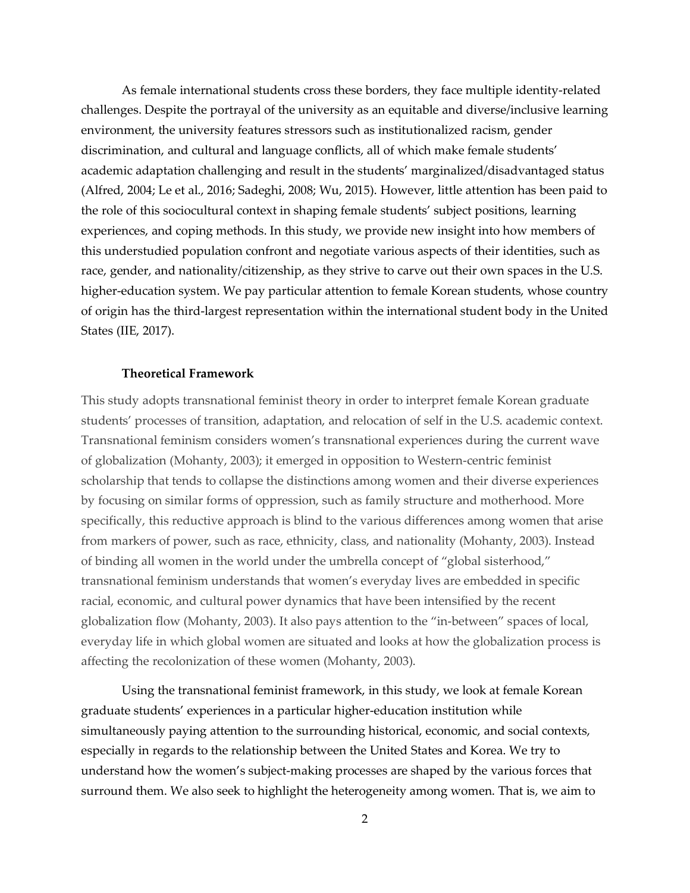As female international students cross these borders, they face multiple identity-related challenges. Despite the portrayal of the university as an equitable and diverse/inclusive learning environment, the university features stressors such as institutionalized racism, gender discrimination, and cultural and language conflicts, all of which make female students' academic adaptation challenging and result in the students' marginalized/disadvantaged status (Alfred, 2004; Le et al., 2016; Sadeghi, 2008; Wu, 2015). However, little attention has been paid to the role of this sociocultural context in shaping female students' subject positions, learning experiences, and coping methods. In this study, we provide new insight into how members of this understudied population confront and negotiate various aspects of their identities, such as race, gender, and nationality/citizenship, as they strive to carve out their own spaces in the U.S. higher-education system. We pay particular attention to female Korean students, whose country of origin has the third-largest representation within the international student body in the United States (IIE, 2017).

# **Theoretical Framework**

This study adopts transnational feminist theory in order to interpret female Korean graduate students' processes of transition, adaptation, and relocation of self in the U.S. academic context. Transnational feminism considers women's transnational experiences during the current wave of globalization (Mohanty, 2003); it emerged in opposition to Western-centric feminist scholarship that tends to collapse the distinctions among women and their diverse experiences by focusing on similar forms of oppression, such as family structure and motherhood. More specifically, this reductive approach is blind to the various differences among women that arise from markers of power, such as race, ethnicity, class, and nationality (Mohanty, 2003). Instead of binding all women in the world under the umbrella concept of "global sisterhood," transnational feminism understands that women's everyday lives are embedded in specific racial, economic, and cultural power dynamics that have been intensified by the recent globalization flow (Mohanty, 2003). It also pays attention to the "in-between" spaces of local, everyday life in which global women are situated and looks at how the globalization process is affecting the recolonization of these women (Mohanty, 2003).

Using the transnational feminist framework, in this study, we look at female Korean graduate students' experiences in a particular higher-education institution while simultaneously paying attention to the surrounding historical, economic, and social contexts, especially in regards to the relationship between the United States and Korea. We try to understand how the women's subject-making processes are shaped by the various forces that surround them. We also seek to highlight the heterogeneity among women. That is, we aim to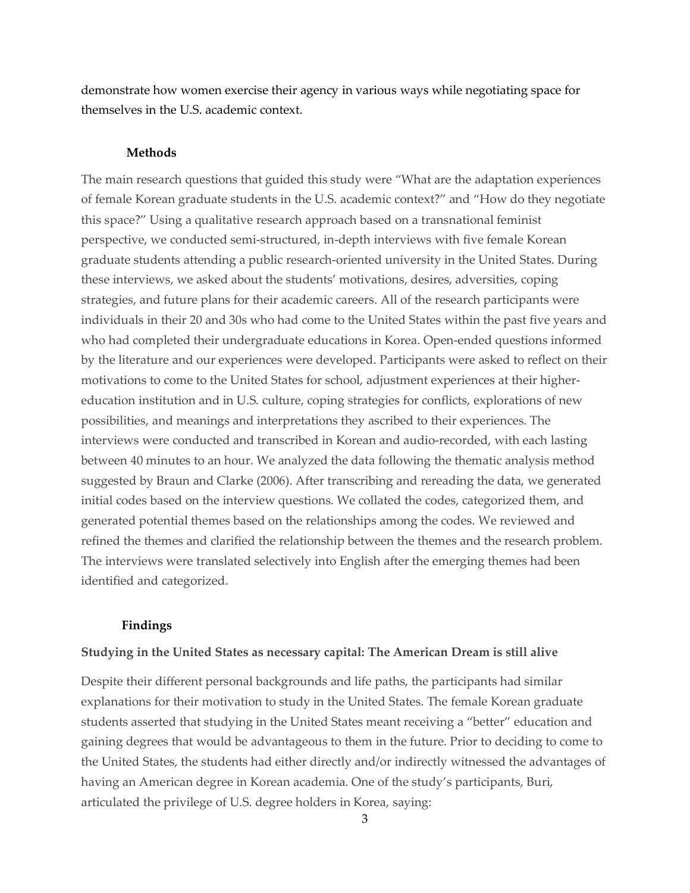demonstrate how women exercise their agency in various ways while negotiating space for themselves in the U.S. academic context.

#### **Methods**

The main research questions that guided this study were "What are the adaptation experiences of female Korean graduate students in the U.S. academic context?" and "How do they negotiate this space?" Using a qualitative research approach based on a transnational feminist perspective, we conducted semi-structured, in-depth interviews with five female Korean graduate students attending a public research-oriented university in the United States. During these interviews, we asked about the students' motivations, desires, adversities, coping strategies, and future plans for their academic careers. All of the research participants were individuals in their 20 and 30s who had come to the United States within the past five years and who had completed their undergraduate educations in Korea. Open-ended questions informed by the literature and our experiences were developed. Participants were asked to reflect on their motivations to come to the United States for school, adjustment experiences at their highereducation institution and in U.S. culture, coping strategies for conflicts, explorations of new possibilities, and meanings and interpretations they ascribed to their experiences. The interviews were conducted and transcribed in Korean and audio-recorded, with each lasting between 40 minutes to an hour. We analyzed the data following the thematic analysis method suggested by Braun and Clarke (2006). After transcribing and rereading the data, we generated initial codes based on the interview questions. We collated the codes, categorized them, and generated potential themes based on the relationships among the codes. We reviewed and refined the themes and clarified the relationship between the themes and the research problem. The interviews were translated selectively into English after the emerging themes had been identified and categorized.

#### **Findings**

#### **Studying in the United States as necessary capital: The American Dream is still alive**

Despite their different personal backgrounds and life paths, the participants had similar explanations for their motivation to study in the United States. The female Korean graduate students asserted that studying in the United States meant receiving a "better" education and gaining degrees that would be advantageous to them in the future. Prior to deciding to come to the United States, the students had either directly and/or indirectly witnessed the advantages of having an American degree in Korean academia. One of the study's participants, Buri, articulated the privilege of U.S. degree holders in Korea, saying: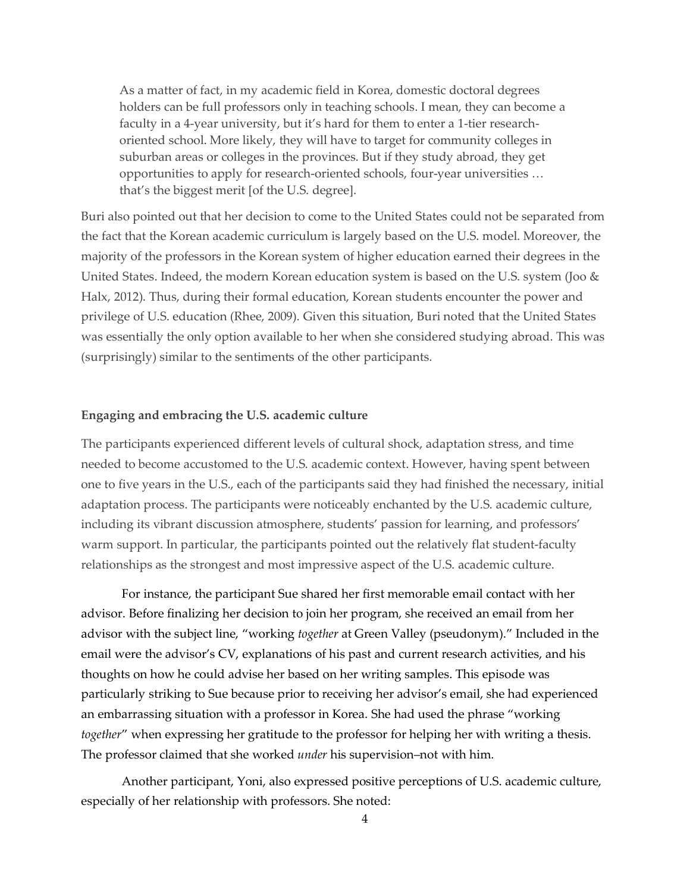As a matter of fact, in my academic field in Korea, domestic doctoral degrees holders can be full professors only in teaching schools. I mean, they can become a faculty in a 4-year university, but it's hard for them to enter a 1-tier researchoriented school. More likely, they will have to target for community colleges in suburban areas or colleges in the provinces. But if they study abroad, they get opportunities to apply for research-oriented schools, four-year universities … that's the biggest merit [of the U.S. degree].

Buri also pointed out that her decision to come to the United States could not be separated from the fact that the Korean academic curriculum is largely based on the U.S. model. Moreover, the majority of the professors in the Korean system of higher education earned their degrees in the United States. Indeed, the modern Korean education system is based on the U.S. system (Joo & Halx, 2012). Thus, during their formal education, Korean students encounter the power and privilege of U.S. education (Rhee, 2009). Given this situation, Buri noted that the United States was essentially the only option available to her when she considered studying abroad. This was (surprisingly) similar to the sentiments of the other participants.

# **Engaging and embracing the U.S. academic culture**

The participants experienced different levels of cultural shock, adaptation stress, and time needed to become accustomed to the U.S. academic context. However, having spent between one to five years in the U.S., each of the participants said they had finished the necessary, initial adaptation process. The participants were noticeably enchanted by the U.S. academic culture, including its vibrant discussion atmosphere, students' passion for learning, and professors' warm support. In particular, the participants pointed out the relatively flat student-faculty relationships as the strongest and most impressive aspect of the U.S. academic culture.

For instance, the participant Sue shared her first memorable email contact with her advisor. Before finalizing her decision to join her program, she received an email from her advisor with the subject line, "working *together* at Green Valley (pseudonym)." Included in the email were the advisor's CV, explanations of his past and current research activities, and his thoughts on how he could advise her based on her writing samples. This episode was particularly striking to Sue because prior to receiving her advisor's email, she had experienced an embarrassing situation with a professor in Korea. She had used the phrase "working *together*" when expressing her gratitude to the professor for helping her with writing a thesis. The professor claimed that she worked *under* his supervision–not with him.

Another participant, Yoni, also expressed positive perceptions of U.S. academic culture, especially of her relationship with professors. She noted: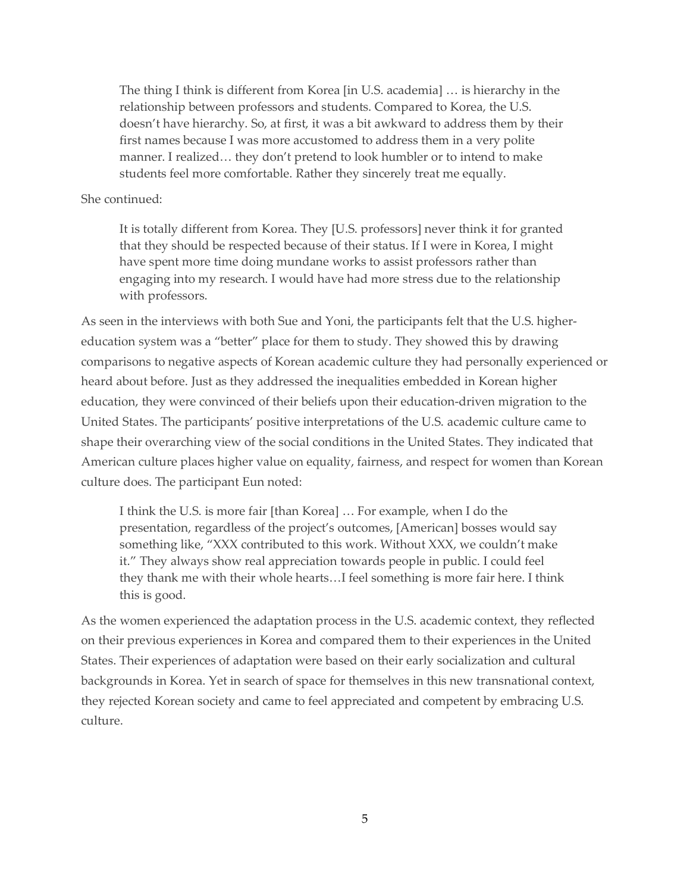The thing I think is different from Korea [in U.S. academia] … is hierarchy in the relationship between professors and students. Compared to Korea, the U.S. doesn't have hierarchy. So, at first, it was a bit awkward to address them by their first names because I was more accustomed to address them in a very polite manner. I realized… they don't pretend to look humbler or to intend to make students feel more comfortable. Rather they sincerely treat me equally.

### She continued:

It is totally different from Korea. They [U.S. professors] never think it for granted that they should be respected because of their status. If I were in Korea, I might have spent more time doing mundane works to assist professors rather than engaging into my research. I would have had more stress due to the relationship with professors.

As seen in the interviews with both Sue and Yoni, the participants felt that the U.S. highereducation system was a "better" place for them to study. They showed this by drawing comparisons to negative aspects of Korean academic culture they had personally experienced or heard about before. Just as they addressed the inequalities embedded in Korean higher education, they were convinced of their beliefs upon their education-driven migration to the United States. The participants' positive interpretations of the U.S. academic culture came to shape their overarching view of the social conditions in the United States. They indicated that American culture places higher value on equality, fairness, and respect for women than Korean culture does. The participant Eun noted:

I think the U.S. is more fair [than Korea] … For example, when I do the presentation, regardless of the project's outcomes, [American] bosses would say something like, "XXX contributed to this work. Without XXX, we couldn't make it." They always show real appreciation towards people in public. I could feel they thank me with their whole hearts…I feel something is more fair here. I think this is good.

As the women experienced the adaptation process in the U.S. academic context, they reflected on their previous experiences in Korea and compared them to their experiences in the United States. Their experiences of adaptation were based on their early socialization and cultural backgrounds in Korea. Yet in search of space for themselves in this new transnational context, they rejected Korean society and came to feel appreciated and competent by embracing U.S. culture.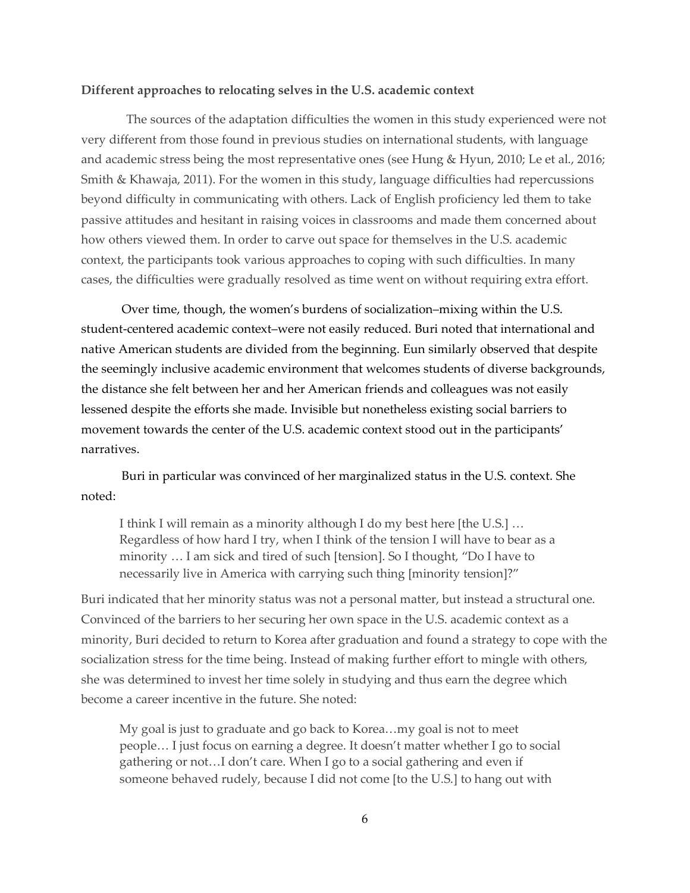#### **Different approaches to relocating selves in the U.S. academic context**

The sources of the adaptation difficulties the women in this study experienced were not very different from those found in previous studies on international students, with language and academic stress being the most representative ones (see Hung & Hyun, 2010; Le et al., 2016; Smith & Khawaja, 2011). For the women in this study, language difficulties had repercussions beyond difficulty in communicating with others. Lack of English proficiency led them to take passive attitudes and hesitant in raising voices in classrooms and made them concerned about how others viewed them. In order to carve out space for themselves in the U.S. academic context, the participants took various approaches to coping with such difficulties. In many cases, the difficulties were gradually resolved as time went on without requiring extra effort.

Over time, though, the women's burdens of socialization–mixing within the U.S. student-centered academic context–were not easily reduced. Buri noted that international and native American students are divided from the beginning. Eun similarly observed that despite the seemingly inclusive academic environment that welcomes students of diverse backgrounds, the distance she felt between her and her American friends and colleagues was not easily lessened despite the efforts she made. Invisible but nonetheless existing social barriers to movement towards the center of the U.S. academic context stood out in the participants' narratives.

Buri in particular was convinced of her marginalized status in the U.S. context. She noted:

I think I will remain as a minority although I do my best here [the U.S.] … Regardless of how hard I try, when I think of the tension I will have to bear as a minority … I am sick and tired of such [tension]. So I thought, "Do I have to necessarily live in America with carrying such thing [minority tension]?"

Buri indicated that her minority status was not a personal matter, but instead a structural one. Convinced of the barriers to her securing her own space in the U.S. academic context as a minority, Buri decided to return to Korea after graduation and found a strategy to cope with the socialization stress for the time being. Instead of making further effort to mingle with others, she was determined to invest her time solely in studying and thus earn the degree which become a career incentive in the future. She noted:

My goal is just to graduate and go back to Korea…my goal is not to meet people… I just focus on earning a degree. It doesn't matter whether I go to social gathering or not…I don't care. When I go to a social gathering and even if someone behaved rudely, because I did not come [to the U.S.] to hang out with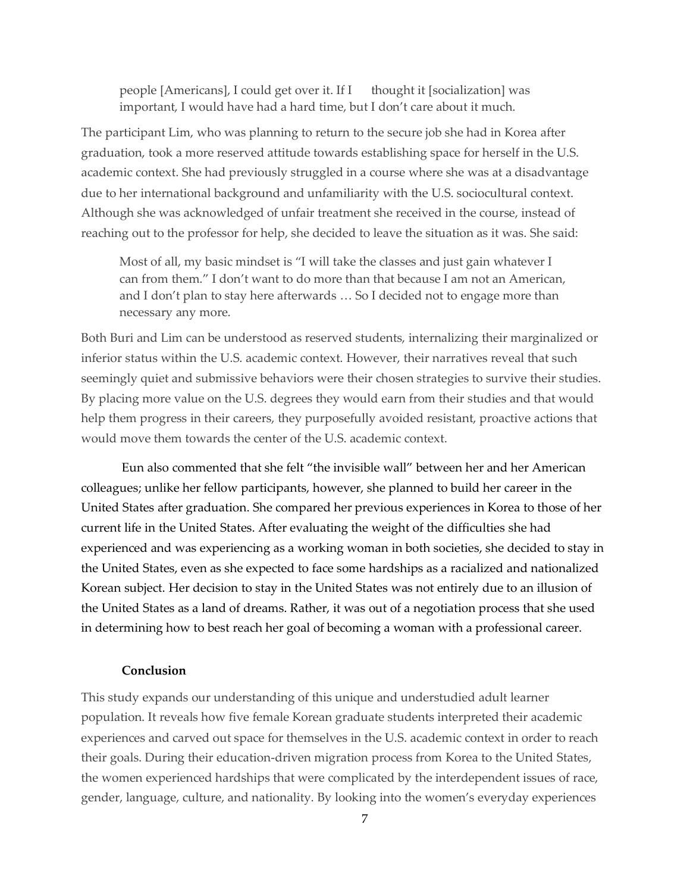people [Americans], I could get over it. If I thought it [socialization] was important, I would have had a hard time, but I don't care about it much.

The participant Lim, who was planning to return to the secure job she had in Korea after graduation, took a more reserved attitude towards establishing space for herself in the U.S. academic context. She had previously struggled in a course where she was at a disadvantage due to her international background and unfamiliarity with the U.S. sociocultural context. Although she was acknowledged of unfair treatment she received in the course, instead of reaching out to the professor for help, she decided to leave the situation as it was. She said:

Most of all, my basic mindset is "I will take the classes and just gain whatever I can from them." I don't want to do more than that because I am not an American, and I don't plan to stay here afterwards … So I decided not to engage more than necessary any more.

Both Buri and Lim can be understood as reserved students, internalizing their marginalized or inferior status within the U.S. academic context. However, their narratives reveal that such seemingly quiet and submissive behaviors were their chosen strategies to survive their studies. By placing more value on the U.S. degrees they would earn from their studies and that would help them progress in their careers, they purposefully avoided resistant, proactive actions that would move them towards the center of the U.S. academic context.

Eun also commented that she felt "the invisible wall" between her and her American colleagues; unlike her fellow participants, however, she planned to build her career in the United States after graduation. She compared her previous experiences in Korea to those of her current life in the United States. After evaluating the weight of the difficulties she had experienced and was experiencing as a working woman in both societies, she decided to stay in the United States, even as she expected to face some hardships as a racialized and nationalized Korean subject. Her decision to stay in the United States was not entirely due to an illusion of the United States as a land of dreams. Rather, it was out of a negotiation process that she used in determining how to best reach her goal of becoming a woman with a professional career.

# **Conclusion**

This study expands our understanding of this unique and understudied adult learner population. It reveals how five female Korean graduate students interpreted their academic experiences and carved out space for themselves in the U.S. academic context in order to reach their goals. During their education-driven migration process from Korea to the United States, the women experienced hardships that were complicated by the interdependent issues of race, gender, language, culture, and nationality. By looking into the women's everyday experiences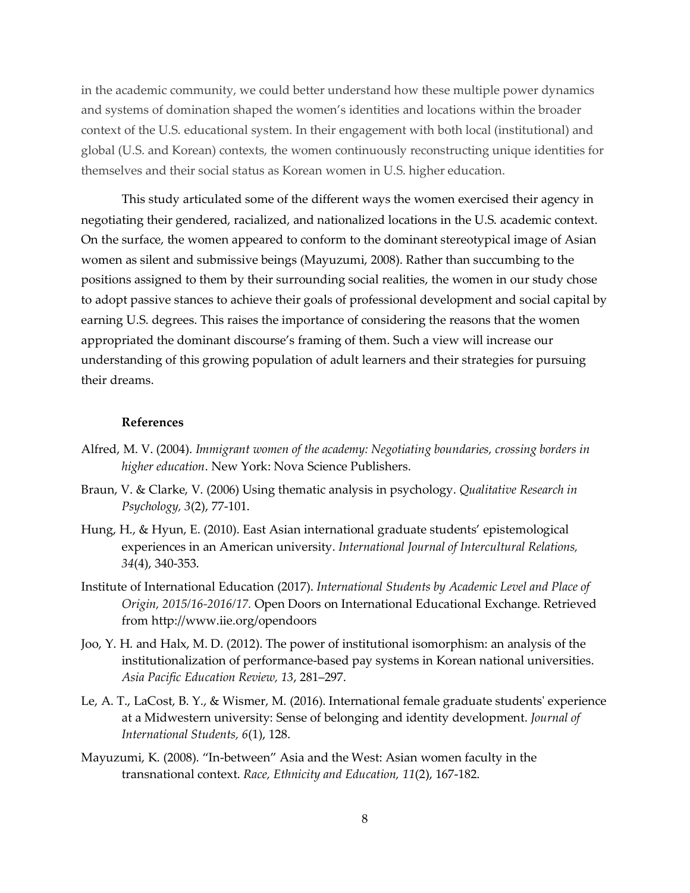in the academic community, we could better understand how these multiple power dynamics and systems of domination shaped the women's identities and locations within the broader context of the U.S. educational system. In their engagement with both local (institutional) and global (U.S. and Korean) contexts, the women continuously reconstructing unique identities for themselves and their social status as Korean women in U.S. higher education.

This study articulated some of the different ways the women exercised their agency in negotiating their gendered, racialized, and nationalized locations in the U.S. academic context. On the surface, the women appeared to conform to the dominant stereotypical image of Asian women as silent and submissive beings (Mayuzumi, 2008). Rather than succumbing to the positions assigned to them by their surrounding social realities, the women in our study chose to adopt passive stances to achieve their goals of professional development and social capital by earning U.S. degrees. This raises the importance of considering the reasons that the women appropriated the dominant discourse's framing of them. Such a view will increase our understanding of this growing population of adult learners and their strategies for pursuing their dreams.

#### **References**

- Alfred, M. V. (2004). *Immigrant women of the academy: Negotiating boundaries, crossing borders in higher education*. New York: Nova Science Publishers.
- Braun, V. & Clarke, V. (2006) Using thematic analysis in psychology. *Qualitative Research in Psychology, 3*(2), 77-101.
- Hung, H., & Hyun, E. (2010). East Asian international graduate students' epistemological experiences in an American university. *International Journal of Intercultural Relations, 34*(4), 340-353.
- Institute of International Education (2017). *International Students by Academic Level and Place of Origin, 2015/16-2016/17.* Open Doors on International Educational Exchange. Retrieved from http://www.iie.org/opendoors
- Joo, Y. H. and Halx, M. D. (2012). The power of institutional isomorphism: an analysis of the institutionalization of performance-based pay systems in Korean national universities. *Asia Pacific Education Review, 13*, 281–297.
- Le, A. T., LaCost, B. Y., & Wismer, M. (2016). International female graduate students' experience at a Midwestern university: Sense of belonging and identity development. *Journal of International Students, 6*(1), 128.
- Mayuzumi, K. (2008). "In-between" Asia and the West: Asian women faculty in the transnational context. *Race, Ethnicity and Education, 11*(2), 167-182.